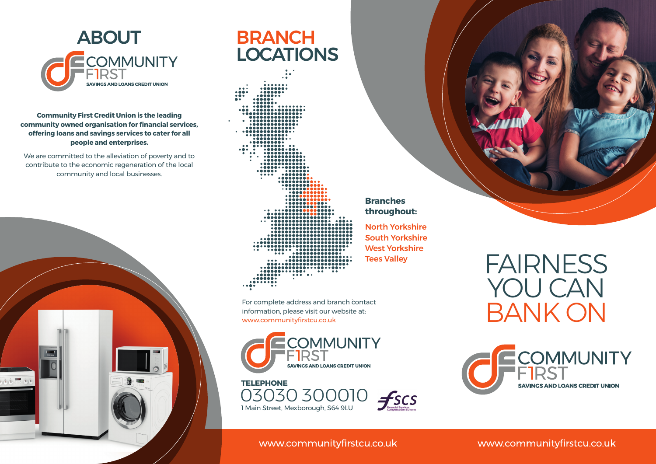

#### **Community First Credit Union is the leading community owned organisation for financial services, offering loans and savings services to cater for all people and enterprises.**

We are committed to the alleviation of poverty and to contribute to the economic regeneration of the local community and local businesses.



# **LOCATIONS**

. . . . . . . . . . . .  $0.0000$ .................. ............ 

For complete address and branch contact information, please visit our website at: www.communityfirstcu.co.uk





#### **Branches throughout:**

North Yorkshire South Yorkshire West Yorkshire Tees Valley

## FAIRNESS YOU CAN BANK ON



#### www.communityfirstcu.co.uk

#### www.communityfirstcu.co.uk